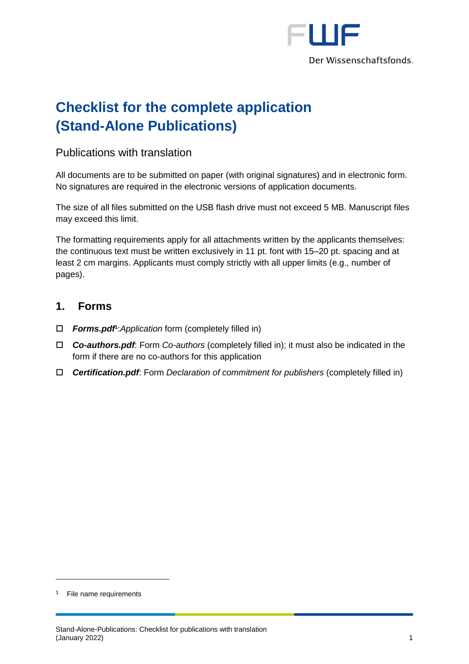

# **Checklist for the complete application (Stand-Alone Publications)**

## Publications with translation

All documents are to be submitted on paper (with original signatures) and in electronic form. No signatures are required in the electronic versions of application documents.

The size of all files submitted on the USB flash drive must not exceed 5 MB. Manuscript files may exceed this limit.

The formatting requirements apply for all attachments written by the applicants themselves: the continuous text must be written exclusively in 11 pt. font with 15–20 pt. spacing and at least 2 cm margins. Applicants must comply strictly with all upper limits (e.g., number of pages).

#### **1. Forms**

- *Forms.pdf* **1** :*Application* form (completely filled in)
- *Co-authors.pdf*: Form *Co-authors* (completely filled in); it must also be indicated in the form if there are no co-authors for this application
- *Certification.pdf*: Form *Declaration of commitment for publishers* (completely filled in)

-

<sup>1</sup> File name requirements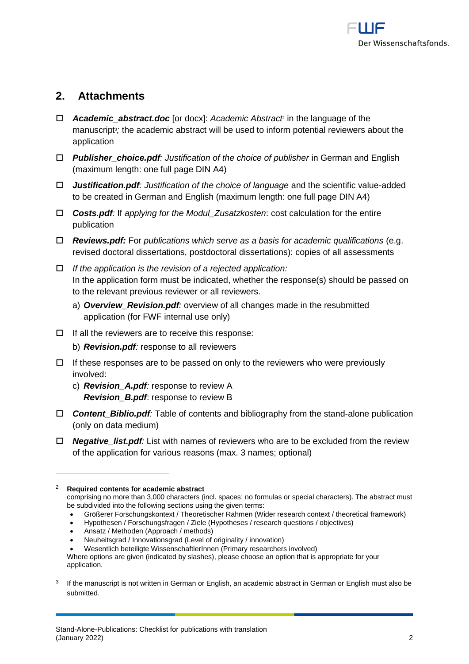

# **2. Attachments**

- *Academic\_abstract.doc* [or docx]: *Academic Abstract*<sup>2</sup> in the language of the manuscript<sup>3</sup>; the academic abstract will be used to inform potential reviewers about the application
- *Publisher\_choice.pdf: Justification of the choice of publisher* in German and English (maximum length: one full page DIN A4)
- *Justification.pdf: Justification of the choice of language* and the scientific value-added to be created in German and English (maximum length: one full page DIN A4)
- *Costs.pdf:* If *applying for the Modul\_Zusatzkosten*: cost calculation for the entire publication
- *Reviews.pdf:* For *publications which serve as a basis for academic qualifications* (e.g. revised doctoral dissertations, postdoctoral dissertations): copies of all assessments
- *If the application is the revision of a rejected application:*  In the application form must be indicated, whether the response(s) should be passed on to the relevant previous reviewer or all reviewers.
	- a) *Overview\_Revision.pdf:* overview of all changes made in the resubmitted application (for FWF internal use only)
- $\Box$  If all the reviewers are to receive this response:
	- b) *Revision.pdf:* response to all reviewers
- $\Box$  If these responses are to be passed on only to the reviewers who were previously involved:
	- c) *Revision\_A.pdf:* response to review A *Revision\_B.pdf*: response to review B
- *Content\_Biblio.pdf:* Table of contents and bibliography from the stand-alone publication (only on data medium)
- *Negative\_list.pdf:* List with names of reviewers who are to be excluded from the review of the application for various reasons (max. 3 names; optional)

1

• Größerer Forschungskontext / Theoretischer Rahmen (Wider research context / theoretical framework)

<sup>2</sup> **Required contents for academic abstract**

comprising no more than 3,000 characters (incl. spaces; no formulas or special characters). The abstract must be subdivided into the following sections using the given terms:

<sup>•</sup> Hypothesen / Forschungsfragen / Ziele (Hypotheses / research questions / objectives)

<sup>•</sup> Ansatz / Methoden (Approach / methods)

<sup>•</sup> Neuheitsgrad / Innovationsgrad (Level of originality / innovation)

<sup>•</sup> Wesentlich beteiligte WissenschaftlerInnen (Primary researchers involved)

Where options are given (indicated by slashes), please choose an option that is appropriate for your application.

<sup>3</sup> If the manuscript is not written in German or English, an academic abstract in German or English must also be submitted.